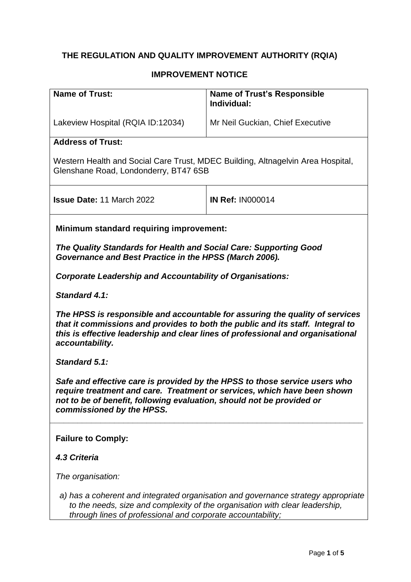# **THE REGULATION AND QUALITY IMPROVEMENT AUTHORITY (RQIA)**

### **IMPROVEMENT NOTICE**

| <b>Name of Trust:</b>                                                                                                                                                                                                                                                | <b>Name of Trust's Responsible</b><br>Individual: |  |
|----------------------------------------------------------------------------------------------------------------------------------------------------------------------------------------------------------------------------------------------------------------------|---------------------------------------------------|--|
| Lakeview Hospital (RQIA ID:12034)                                                                                                                                                                                                                                    | Mr Neil Guckian, Chief Executive                  |  |
| <b>Address of Trust:</b>                                                                                                                                                                                                                                             |                                                   |  |
| Western Health and Social Care Trust, MDEC Building, Altnagelvin Area Hospital,<br>Glenshane Road, Londonderry, BT47 6SB                                                                                                                                             |                                                   |  |
| <b>Issue Date: 11 March 2022</b>                                                                                                                                                                                                                                     | <b>IN Ref: IN000014</b>                           |  |
| <b>Minimum standard requiring improvement:</b>                                                                                                                                                                                                                       |                                                   |  |
| The Quality Standards for Health and Social Care: Supporting Good<br>Governance and Best Practice in the HPSS (March 2006).                                                                                                                                          |                                                   |  |
| <b>Corporate Leadership and Accountability of Organisations:</b>                                                                                                                                                                                                     |                                                   |  |
| Standard 4.1:                                                                                                                                                                                                                                                        |                                                   |  |
| The HPSS is responsible and accountable for assuring the quality of services<br>that it commissions and provides to both the public and its staff. Integral to<br>this is effective leadership and clear lines of professional and organisational<br>accountability. |                                                   |  |
| Standard 5.1:                                                                                                                                                                                                                                                        |                                                   |  |
| Safe and effective care is provided by the HPSS to those service users who<br>require treatment and care. Treatment or services, which have been shown<br>not to be of benefit, following evaluation, should not be provided or<br>commissioned by the HPSS.         |                                                   |  |
| <b>Failure to Comply:</b>                                                                                                                                                                                                                                            |                                                   |  |
| 4.3 Criteria                                                                                                                                                                                                                                                         |                                                   |  |
| The organisation:                                                                                                                                                                                                                                                    |                                                   |  |
| a) has a coherent and integrated organisation and governance strategy appropriate<br>to the needs, size and complexity of the organisation with clear leadership,<br>through lines of professional and corporate accountability;                                     |                                                   |  |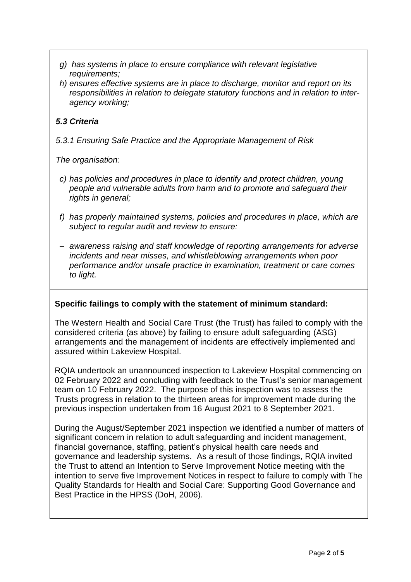- *g) has systems in place to ensure compliance with relevant legislative requirements;*
- *h) ensures effective systems are in place to discharge, monitor and report on its responsibilities in relation to delegate statutory functions and in relation to interagency working;*

## *5.3 Criteria*

*5.3.1 Ensuring Safe Practice and the Appropriate Management of Risk*

*The organisation:*

- *c) has policies and procedures in place to identify and protect children, young people and vulnerable adults from harm and to promote and safeguard their rights in general;*
- *f) has properly maintained systems, policies and procedures in place, which are subject to regular audit and review to ensure:*
- *awareness raising and staff knowledge of reporting arrangements for adverse incidents and near misses, and whistleblowing arrangements when poor performance and/or unsafe practice in examination, treatment or care comes to light.*

### **Specific failings to comply with the statement of minimum standard:**

The Western Health and Social Care Trust (the Trust) has failed to comply with the considered criteria (as above) by failing to ensure adult safeguarding (ASG) arrangements and the management of incidents are effectively implemented and assured within Lakeview Hospital.

RQIA undertook an unannounced inspection to Lakeview Hospital commencing on 02 February 2022 and concluding with feedback to the Trust's senior management team on 10 February 2022. The purpose of this inspection was to assess the Trusts progress in relation to the thirteen areas for improvement made during the previous inspection undertaken from 16 August 2021 to 8 September 2021.

During the August/September 2021 inspection we identified a number of matters of significant concern in relation to adult safeguarding and incident management, financial governance, staffing, patient's physical health care needs and governance and leadership systems. As a result of those findings, RQIA invited the Trust to attend an Intention to Serve Improvement Notice meeting with the intention to serve five Improvement Notices in respect to failure to comply with The Quality Standards for Health and Social Care: Supporting Good Governance and Best Practice in the HPSS (DoH, 2006).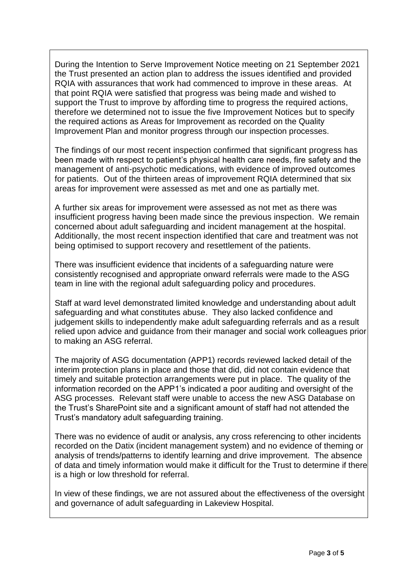During the Intention to Serve Improvement Notice meeting on 21 September 2021 the Trust presented an action plan to address the issues identified and provided RQIA with assurances that work had commenced to improve in these areas. At that point RQIA were satisfied that progress was being made and wished to support the Trust to improve by affording time to progress the required actions, therefore we determined not to issue the five Improvement Notices but to specify the required actions as Areas for Improvement as recorded on the Quality Improvement Plan and monitor progress through our inspection processes.

The findings of our most recent inspection confirmed that significant progress has been made with respect to patient's physical health care needs, fire safety and the management of anti-psychotic medications, with evidence of improved outcomes for patients. Out of the thirteen areas of improvement RQIA determined that six areas for improvement were assessed as met and one as partially met.

A further six areas for improvement were assessed as not met as there was insufficient progress having been made since the previous inspection. We remain concerned about adult safeguarding and incident management at the hospital. Additionally, the most recent inspection identified that care and treatment was not being optimised to support recovery and resettlement of the patients.

There was insufficient evidence that incidents of a safeguarding nature were consistently recognised and appropriate onward referrals were made to the ASG team in line with the regional adult safeguarding policy and procedures.

Staff at ward level demonstrated limited knowledge and understanding about adult safeguarding and what constitutes abuse. They also lacked confidence and judgement skills to independently make adult safeguarding referrals and as a result relied upon advice and guidance from their manager and social work colleagues prior to making an ASG referral.

The majority of ASG documentation (APP1) records reviewed lacked detail of the interim protection plans in place and those that did, did not contain evidence that timely and suitable protection arrangements were put in place. The quality of the information recorded on the APP1's indicated a poor auditing and oversight of the ASG processes. Relevant staff were unable to access the new ASG Database on the Trust's SharePoint site and a significant amount of staff had not attended the Trust's mandatory adult safeguarding training.

There was no evidence of audit or analysis, any cross referencing to other incidents recorded on the Datix (incident management system) and no evidence of theming or analysis of trends/patterns to identify learning and drive improvement. The absence of data and timely information would make it difficult for the Trust to determine if there is a high or low threshold for referral.

In view of these findings, we are not assured about the effectiveness of the oversight and governance of adult safeguarding in Lakeview Hospital.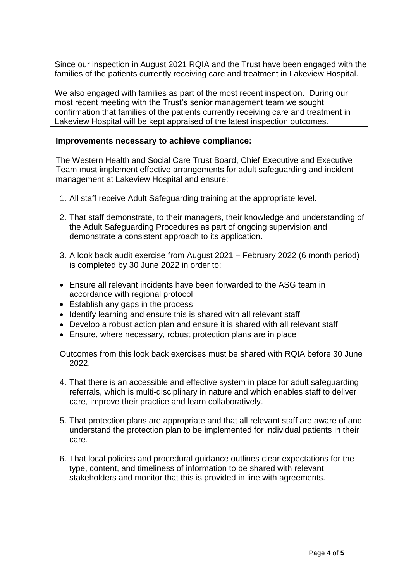Since our inspection in August 2021 RQIA and the Trust have been engaged with the families of the patients currently receiving care and treatment in Lakeview Hospital.

We also engaged with families as part of the most recent inspection. During our most recent meeting with the Trust's senior management team we sought confirmation that families of the patients currently receiving care and treatment in Lakeview Hospital will be kept appraised of the latest inspection outcomes.

### **Improvements necessary to achieve compliance:**

The Western Health and Social Care Trust Board, Chief Executive and Executive Team must implement effective arrangements for adult safeguarding and incident management at Lakeview Hospital and ensure:

- 1. All staff receive Adult Safeguarding training at the appropriate level.
- 2. That staff demonstrate, to their managers, their knowledge and understanding of the Adult Safeguarding Procedures as part of ongoing supervision and demonstrate a consistent approach to its application.
- 3. A look back audit exercise from August 2021 February 2022 (6 month period) is completed by 30 June 2022 in order to:
- Ensure all relevant incidents have been forwarded to the ASG team in accordance with regional protocol
- Establish any gaps in the process
- Identify learning and ensure this is shared with all relevant staff
- Develop a robust action plan and ensure it is shared with all relevant staff
- Ensure, where necessary, robust protection plans are in place

Outcomes from this look back exercises must be shared with RQIA before 30 June 2022.

- 4. That there is an accessible and effective system in place for adult safeguarding referrals, which is multi-disciplinary in nature and which enables staff to deliver care, improve their practice and learn collaboratively.
- 5. That protection plans are appropriate and that all relevant staff are aware of and understand the protection plan to be implemented for individual patients in their care.
- 6. That local policies and procedural guidance outlines clear expectations for the type, content, and timeliness of information to be shared with relevant stakeholders and monitor that this is provided in line with agreements.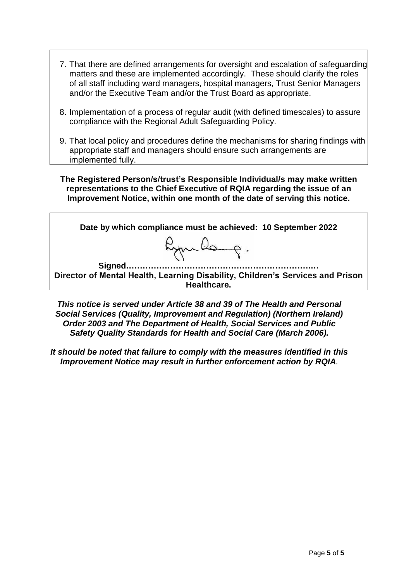- 7. That there are defined arrangements for oversight and escalation of safeguarding matters and these are implemented accordingly. These should clarify the roles of all staff including ward managers, hospital managers, Trust Senior Managers and/or the Executive Team and/or the Trust Board as appropriate.
- 8. Implementation of a process of regular audit (with defined timescales) to assure compliance with the Regional Adult Safeguarding Policy.
- 9. That local policy and procedures define the mechanisms for sharing findings with appropriate staff and managers should ensure such arrangements are implemented fully.

**The Registered Person/s/trust's Responsible Individual/s may make written representations to the Chief Executive of RQIA regarding the issue of an Improvement Notice, within one month of the date of serving this notice.**

**Date by which compliance must be achieved: 10 September 2022** RymBorg. **Signed………………………………………………………….… Director of Mental Health, Learning Disability, Children's Services and Prison Healthcare.**

*This notice is served under Article 38 and 39 of The Health and Personal Social Services (Quality, Improvement and Regulation) (Northern Ireland) Order 2003 and The Department of Health, Social Services and Public Safety Quality Standards for Health and Social Care (March 2006).*

*It should be noted that failure to comply with the measures identified in this Improvement Notice may result in further enforcement action by RQIA.*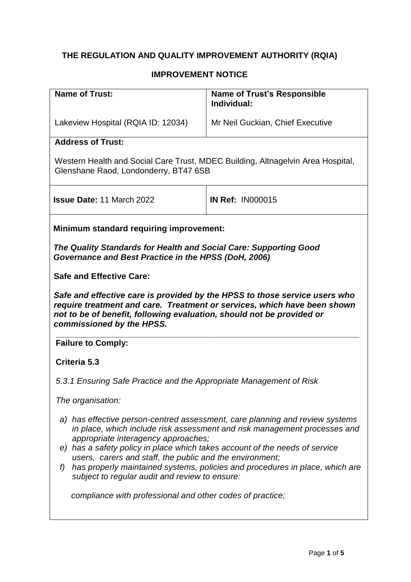# **THE REGULATION AND QUALITY IMPROVEMENT AUTHORITY (RQIA)**

### **IMPROVEMENT NOTICE**

| <b>Name of Trust:</b>                                                                                                                                                                                                                                                                                                                                                                                                                                                                                                                            | <b>Name of Trust's Responsible</b><br>Individual: |  |
|--------------------------------------------------------------------------------------------------------------------------------------------------------------------------------------------------------------------------------------------------------------------------------------------------------------------------------------------------------------------------------------------------------------------------------------------------------------------------------------------------------------------------------------------------|---------------------------------------------------|--|
|                                                                                                                                                                                                                                                                                                                                                                                                                                                                                                                                                  |                                                   |  |
| Lakeview Hospital (RQIA ID: 12034)                                                                                                                                                                                                                                                                                                                                                                                                                                                                                                               | Mr Neil Guckian, Chief Executive                  |  |
| <b>Address of Trust:</b>                                                                                                                                                                                                                                                                                                                                                                                                                                                                                                                         |                                                   |  |
| Western Health and Social Care Trust, MDEC Building, Altnagelvin Area Hospital,<br>Glenshane Raod, Londonderry, BT47 6SB                                                                                                                                                                                                                                                                                                                                                                                                                         |                                                   |  |
| <b>Issue Date: 11 March 2022</b>                                                                                                                                                                                                                                                                                                                                                                                                                                                                                                                 | <b>IN Ref: IN000015</b>                           |  |
| <b>Minimum standard requiring improvement:</b>                                                                                                                                                                                                                                                                                                                                                                                                                                                                                                   |                                                   |  |
| The Quality Standards for Health and Social Care: Supporting Good<br>Governance and Best Practice in the HPSS (DoH, 2006)                                                                                                                                                                                                                                                                                                                                                                                                                        |                                                   |  |
| <b>Safe and Effective Care:</b>                                                                                                                                                                                                                                                                                                                                                                                                                                                                                                                  |                                                   |  |
| Safe and effective care is provided by the HPSS to those service users who<br>require treatment and care. Treatment or services, which have been shown<br>not to be of benefit, following evaluation, should not be provided or<br>commissioned by the HPSS.                                                                                                                                                                                                                                                                                     |                                                   |  |
| <b>Failure to Comply:</b>                                                                                                                                                                                                                                                                                                                                                                                                                                                                                                                        |                                                   |  |
| Criteria 5.3                                                                                                                                                                                                                                                                                                                                                                                                                                                                                                                                     |                                                   |  |
| 5.3.1 Ensuring Safe Practice and the Appropriate Management of Risk                                                                                                                                                                                                                                                                                                                                                                                                                                                                              |                                                   |  |
| The organisation:                                                                                                                                                                                                                                                                                                                                                                                                                                                                                                                                |                                                   |  |
| a) has effective person-centred assessment, care planning and review systems<br>in place, which include risk assessment and risk management processes and<br>appropriate interagency approaches;<br>e) has a safety policy in place which takes account of the needs of service<br>users, carers and staff, the public and the environment;<br>has properly maintained systems, policies and procedures in place, which are<br>f)<br>subject to regular audit and review to ensure:<br>compliance with professional and other codes of practice; |                                                   |  |
|                                                                                                                                                                                                                                                                                                                                                                                                                                                                                                                                                  |                                                   |  |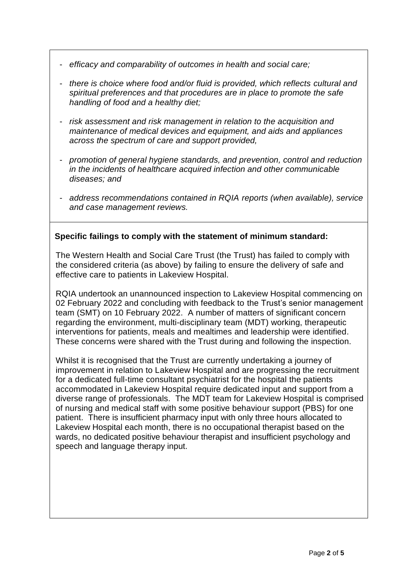- *efficacy and comparability of outcomes in health and social care;*
- *there is choice where food and/or fluid is provided, which reflects cultural and spiritual preferences and that procedures are in place to promote the safe handling of food and a healthy diet;*
- *risk assessment and risk management in relation to the acquisition and maintenance of medical devices and equipment, and aids and appliances across the spectrum of care and support provided,*
- *promotion of general hygiene standards, and prevention, control and reduction in the incidents of healthcare acquired infection and other communicable diseases; and*
- *address recommendations contained in RQIA reports (when available), service and case management reviews.*

### **Specific failings to comply with the statement of minimum standard:**

The Western Health and Social Care Trust (the Trust) has failed to comply with the considered criteria (as above) by failing to ensure the delivery of safe and effective care to patients in Lakeview Hospital.

RQIA undertook an unannounced inspection to Lakeview Hospital commencing on 02 February 2022 and concluding with feedback to the Trust's senior management team (SMT) on 10 February 2022. A number of matters of significant concern regarding the environment, multi-disciplinary team (MDT) working, therapeutic interventions for patients, meals and mealtimes and leadership were identified. These concerns were shared with the Trust during and following the inspection.

Whilst it is recognised that the Trust are currently undertaking a journey of improvement in relation to Lakeview Hospital and are progressing the recruitment for a dedicated full-time consultant psychiatrist for the hospital the patients accommodated in Lakeview Hospital require dedicated input and support from a diverse range of professionals. The MDT team for Lakeview Hospital is comprised of nursing and medical staff with some positive behaviour support (PBS) for one patient. There is insufficient pharmacy input with only three hours allocated to Lakeview Hospital each month, there is no occupational therapist based on the wards, no dedicated positive behaviour therapist and insufficient psychology and speech and language therapy input.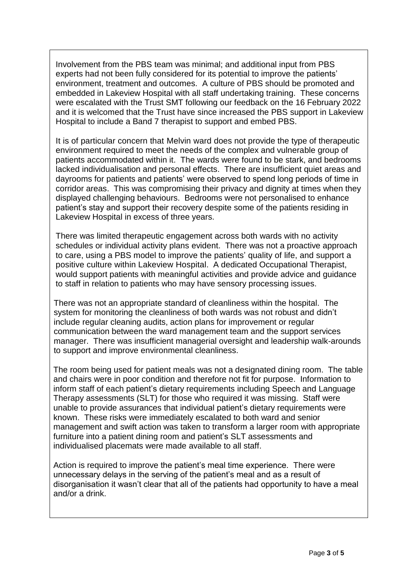Involvement from the PBS team was minimal; and additional input from PBS experts had not been fully considered for its potential to improve the patients' environment, treatment and outcomes. A culture of PBS should be promoted and embedded in Lakeview Hospital with all staff undertaking training. These concerns were escalated with the Trust SMT following our feedback on the 16 February 2022 and it is welcomed that the Trust have since increased the PBS support in Lakeview Hospital to include a Band 7 therapist to support and embed PBS.

It is of particular concern that Melvin ward does not provide the type of therapeutic environment required to meet the needs of the complex and vulnerable group of patients accommodated within it. The wards were found to be stark, and bedrooms lacked individualisation and personal effects. There are insufficient quiet areas and dayrooms for patients and patients' were observed to spend long periods of time in corridor areas. This was compromising their privacy and dignity at times when they displayed challenging behaviours. Bedrooms were not personalised to enhance patient's stay and support their recovery despite some of the patients residing in Lakeview Hospital in excess of three years.

There was limited therapeutic engagement across both wards with no activity schedules or individual activity plans evident. There was not a proactive approach to care, using a PBS model to improve the patients' quality of life, and support a positive culture within Lakeview Hospital. A dedicated Occupational Therapist, would support patients with meaningful activities and provide advice and guidance to staff in relation to patients who may have sensory processing issues.

There was not an appropriate standard of cleanliness within the hospital. The system for monitoring the cleanliness of both wards was not robust and didn't include regular cleaning audits, action plans for improvement or regular communication between the ward management team and the support services manager. There was insufficient managerial oversight and leadership walk-arounds to support and improve environmental cleanliness.

The room being used for patient meals was not a designated dining room. The table and chairs were in poor condition and therefore not fit for purpose. Information to inform staff of each patient's dietary requirements including Speech and Language Therapy assessments (SLT) for those who required it was missing. Staff were unable to provide assurances that individual patient's dietary requirements were known. These risks were immediately escalated to both ward and senior management and swift action was taken to transform a larger room with appropriate furniture into a patient dining room and patient's SLT assessments and individualised placemats were made available to all staff.

Action is required to improve the patient's meal time experience. There were unnecessary delays in the serving of the patient's meal and as a result of disorganisation it wasn't clear that all of the patients had opportunity to have a meal and/or a drink.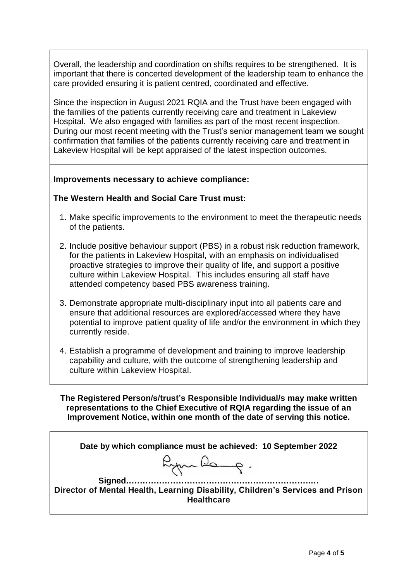Overall, the leadership and coordination on shifts requires to be strengthened. It is important that there is concerted development of the leadership team to enhance the care provided ensuring it is patient centred, coordinated and effective.

Since the inspection in August 2021 RQIA and the Trust have been engaged with the families of the patients currently receiving care and treatment in Lakeview Hospital. We also engaged with families as part of the most recent inspection. During our most recent meeting with the Trust's senior management team we sought confirmation that families of the patients currently receiving care and treatment in Lakeview Hospital will be kept appraised of the latest inspection outcomes.

### **Improvements necessary to achieve compliance:**

#### **The Western Health and Social Care Trust must:**

- 1. Make specific improvements to the environment to meet the therapeutic needs of the patients.
- 2. Include positive behaviour support (PBS) in a robust risk reduction framework, for the patients in Lakeview Hospital, with an emphasis on individualised proactive strategies to improve their quality of life, and support a positive culture within Lakeview Hospital. This includes ensuring all staff have attended competency based PBS awareness training.
- 3. Demonstrate appropriate multi-disciplinary input into all patients care and ensure that additional resources are explored/accessed where they have potential to improve patient quality of life and/or the environment in which they currently reside.
- 4. Establish a programme of development and training to improve leadership capability and culture, with the outcome of strengthening leadership and culture within Lakeview Hospital.

**The Registered Person/s/trust's Responsible Individual/s may make written representations to the Chief Executive of RQIA regarding the issue of an Improvement Notice, within one month of the date of serving this notice.**

**Date by which compliance must be achieved: 10 September 2022** 

Rymang.

**Signed………………………………………………………….… Director of Mental Health, Learning Disability, Children's Services and Prison Healthcare**